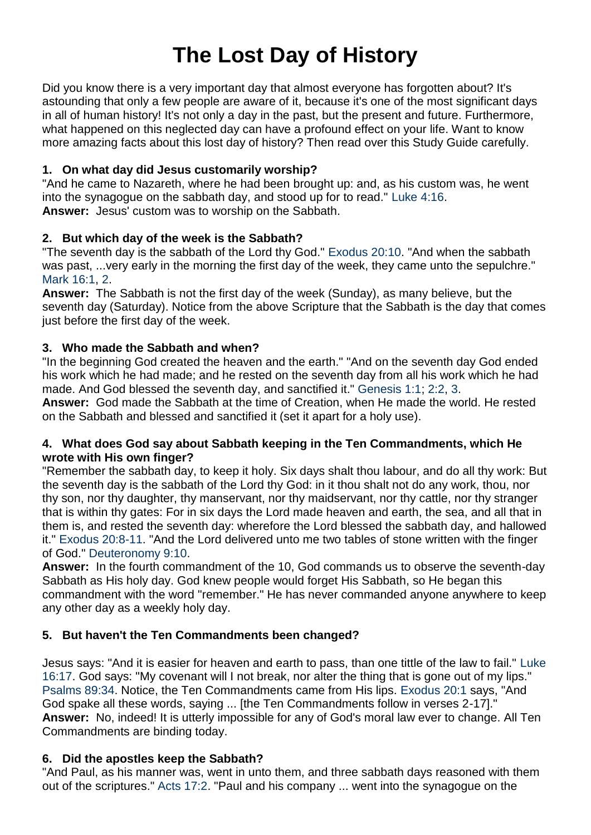# **The Lost Day of History**

Did you know there is a very important day that almost everyone has forgotten about? It's astounding that only a few people are aware of it, because it's one of the most significant days in all of human history! It's not only a day in the past, but the present and future. Furthermore, what happened on this neglected day can have a profound effect on your life. Want to know more amazing facts about this lost day of history? Then read over this Study Guide carefully.

## **1. On what day did Jesus customarily worship?**

"And he came to Nazareth, where he had been brought up: and, as his custom was, he went into the synagogue on the sabbath day, and stood up for to read." [Luke 4:16.](http://biblia.com/bible/kjv1900/Luke%204.16) **Answer:** Jesus' custom was to worship on the Sabbath.

## **2. But which day of the week is the Sabbath?**

"The seventh day is the sabbath of the Lord thy God." [Exodus 20:10.](http://biblia.com/bible/kjv1900/Exodus%2020.10) "And when the sabbath was past, ...very early in the morning the first day of the week, they came unto the sepulchre." [Mark 16:1,](http://biblia.com/bible/kjv1900/Mark%2016.1) [2.](http://biblia.com/bible/kjv1900/Mark%2016.2)

**Answer:** The Sabbath is not the first day of the week (Sunday), as many believe, but the seventh day (Saturday). Notice from the above Scripture that the Sabbath is the day that comes just before the first day of the week.

# **3. Who made the Sabbath and when?**

"In the beginning God created the heaven and the earth." "And on the seventh day God ended his work which he had made; and he rested on the seventh day from all his work which he had made. And God blessed the seventh day, and sanctified it." [Genesis 1:1;](http://biblia.com/bible/kjv1900/Genesis%201.1) [2:2,](http://biblia.com/bible/kjv1900/Genesis%202.2) [3.](http://biblia.com/bible/kjv1900/Genesis%202.3)

**Answer:** God made the Sabbath at the time of Creation, when He made the world. He rested on the Sabbath and blessed and sanctified it (set it apart for a holy use).

## **4. What does God say about Sabbath keeping in the Ten Commandments, which He wrote with His own finger?**

"Remember the sabbath day, to keep it holy. Six days shalt thou labour, and do all thy work: But the seventh day is the sabbath of the Lord thy God: in it thou shalt not do any work, thou, nor thy son, nor thy daughter, thy manservant, nor thy maidservant, nor thy cattle, nor thy stranger that is within thy gates: For in six days the Lord made heaven and earth, the sea, and all that in them is, and rested the seventh day: wherefore the Lord blessed the sabbath day, and hallowed it." [Exodus 20:8-11.](http://biblia.com/bible/kjv1900/Exodus%2020.8-11) "And the Lord delivered unto me two tables of stone written with the finger of God." [Deuteronomy 9:10.](http://biblia.com/bible/kjv1900/Deuteronomy%209.10)

**Answer:** In the fourth commandment of the 10, God commands us to observe the seventh-day Sabbath as His holy day. God knew people would forget His Sabbath, so He began this commandment with the word "remember." He has never commanded anyone anywhere to keep any other day as a weekly holy day.

# **5. But haven't the Ten Commandments been changed?**

Jesus says: "And it is easier for heaven and earth to pass, than one tittle of the law to fail." [Luke](http://biblia.com/bible/kjv1900/Luke%2016.17)  [16:17.](http://biblia.com/bible/kjv1900/Luke%2016.17) God says: "My covenant will I not break, nor alter the thing that is gone out of my lips." [Psalms 89:34.](http://biblia.com/bible/kjv1900/Psalms%2089.34) Notice, the Ten Commandments came from His lips. [Exodus 20:1](http://biblia.com/bible/kjv1900/Exodus%2020.1) says, "And God spake all these words, saying ... [the Ten Commandments follow in verses 2-17]." **Answer:** No, indeed! It is utterly impossible for any of God's moral law ever to change. All Ten Commandments are binding today.

# **6. Did the apostles keep the Sabbath?**

"And Paul, as his manner was, went in unto them, and three sabbath days reasoned with them out of the scriptures." [Acts 17:2.](http://biblia.com/bible/kjv1900/Acts%2017.2) "Paul and his company ... went into the synagogue on the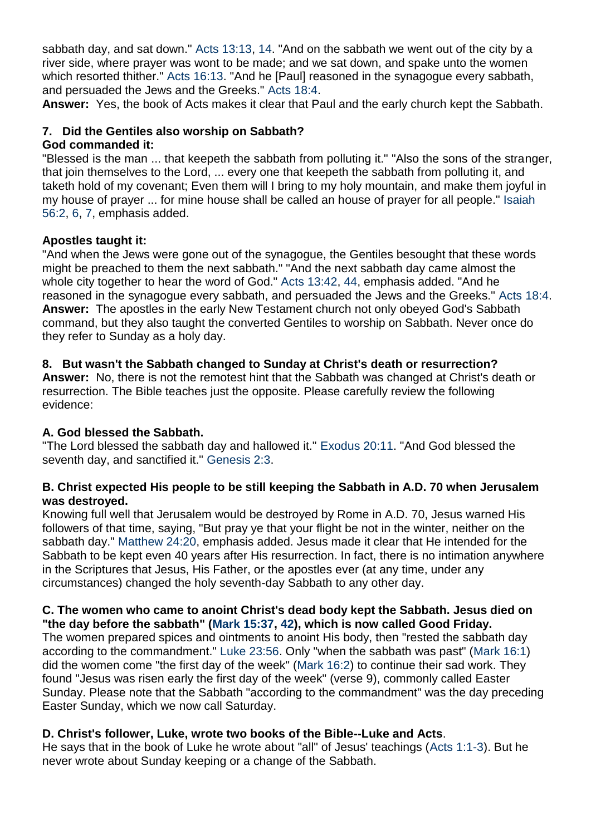sabbath day, and sat down." [Acts 13:13,](http://biblia.com/bible/kjv1900/Acts%2013.13) [14.](http://biblia.com/bible/kjv1900/Acts%2013.14) "And on the sabbath we went out of the city by a river side, where prayer was wont to be made; and we sat down, and spake unto the women which resorted thither." [Acts 16:13.](http://biblia.com/bible/kjv1900/Acts%2016.13) "And he [Paul] reasoned in the synagogue every sabbath, and persuaded the Jews and the Greeks." [Acts 18:4.](http://biblia.com/bible/kjv1900/Acts%2018.4)

**Answer:** Yes, the book of Acts makes it clear that Paul and the early church kept the Sabbath.

#### **7. Did the Gentiles also worship on Sabbath? God commanded it:**

"Blessed is the man ... that keepeth the sabbath from polluting it." "Also the sons of the stranger, that join themselves to the Lord, ... every one that keepeth the sabbath from polluting it, and taketh hold of my covenant; Even them will I bring to my holy mountain, and make them joyful in my house of prayer ... for mine house shall be called an house of prayer for all people." [Isaiah](http://biblia.com/bible/kjv1900/Isaiah%2056.2)  [56:2,](http://biblia.com/bible/kjv1900/Isaiah%2056.2) [6,](http://biblia.com/bible/kjv1900/Isaiah%2056.6) [7,](http://biblia.com/bible/kjv1900/Isaiah%2056.7) emphasis added.

## **Apostles taught it:**

"And when the Jews were gone out of the synagogue, the Gentiles besought that these words might be preached to them the next sabbath." "And the next sabbath day came almost the whole city together to hear the word of God." [Acts 13:42,](http://biblia.com/bible/kjv1900/Acts%2013.42) [44,](http://biblia.com/bible/kjv1900/Acts%2013.44) emphasis added. "And he reasoned in the synagogue every sabbath, and persuaded the Jews and the Greeks." [Acts 18:4.](http://biblia.com/bible/kjv1900/Acts%2018.4) **Answer:** The apostles in the early New Testament church not only obeyed God's Sabbath command, but they also taught the converted Gentiles to worship on Sabbath. Never once do they refer to Sunday as a holy day.

## **8. But wasn't the Sabbath changed to Sunday at Christ's death or resurrection?**

**Answer:** No, there is not the remotest hint that the Sabbath was changed at Christ's death or resurrection. The Bible teaches just the opposite. Please carefully review the following evidence:

# **A. God blessed the Sabbath.**

"The Lord blessed the sabbath day and hallowed it." [Exodus 20:11.](http://biblia.com/bible/kjv1900/Exodus%2020.11) "And God blessed the seventh day, and sanctified it." [Genesis 2:3.](http://biblia.com/bible/kjv1900/Genesis%202.3)

## **B. Christ expected His people to be still keeping the Sabbath in A.D. 70 when Jerusalem was destroyed.**

Knowing full well that Jerusalem would be destroyed by Rome in A.D. 70, Jesus warned His followers of that time, saying, "But pray ye that your flight be not in the winter, neither on the sabbath day." [Matthew 24:20,](http://biblia.com/bible/kjv1900/Matthew%2024.20) emphasis added. Jesus made it clear that He intended for the Sabbath to be kept even 40 years after His resurrection. In fact, there is no intimation anywhere in the Scriptures that Jesus, His Father, or the apostles ever (at any time, under any circumstances) changed the holy seventh-day Sabbath to any other day.

## **C. The women who came to anoint Christ's dead body kept the Sabbath. Jesus died on "the day before the sabbath" [\(Mark 15:37,](http://biblia.com/bible/kjv1900/Mark%2015.37) [42\)](http://biblia.com/bible/kjv1900/Mark%2015.42), which is now called Good Friday.**

The women prepared spices and ointments to anoint His body, then "rested the sabbath day according to the commandment." [Luke 23:56.](http://biblia.com/bible/kjv1900/Luke%2023.56) Only "when the sabbath was past" [\(Mark 16:1\)](http://biblia.com/bible/kjv1900/Mark%2016.1) did the women come "the first day of the week" [\(Mark 16:2\)](http://biblia.com/bible/kjv1900/Mark%2016.2) to continue their sad work. They found "Jesus was risen early the first day of the week" (verse 9), commonly called Easter Sunday. Please note that the Sabbath "according to the commandment" was the day preceding Easter Sunday, which we now call Saturday.

# **D. Christ's follower, Luke, wrote two books of the Bible--Luke and Acts**.

He says that in the book of Luke he wrote about "all" of Jesus' teachings [\(Acts 1:1-3\)](http://biblia.com/bible/kjv1900/Acts%201.1-3). But he never wrote about Sunday keeping or a change of the Sabbath.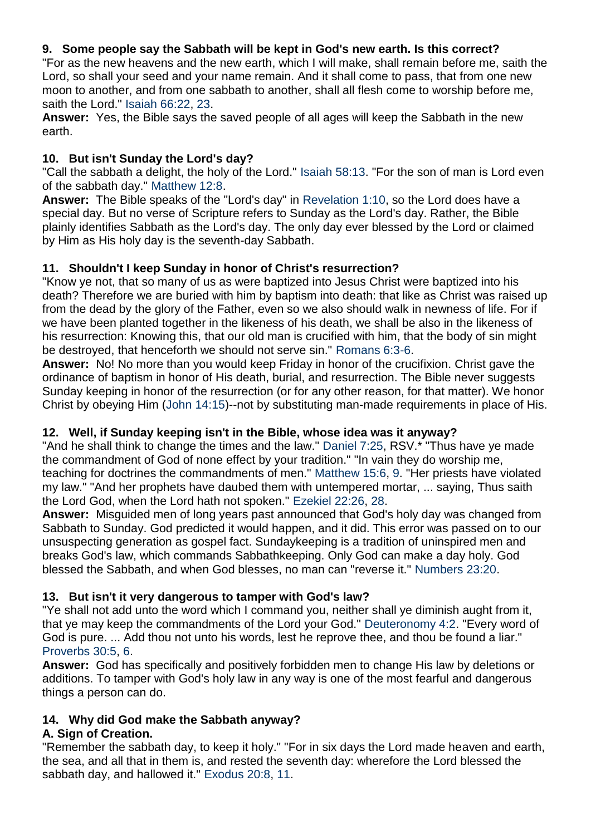# **9. Some people say the Sabbath will be kept in God's new earth. Is this correct?**

"For as the new heavens and the new earth, which I will make, shall remain before me, saith the Lord, so shall your seed and your name remain. And it shall come to pass, that from one new moon to another, and from one sabbath to another, shall all flesh come to worship before me, saith the Lord." [Isaiah 66:22,](http://biblia.com/bible/kjv1900/Isaiah%2066.22) [23.](http://biblia.com/bible/kjv1900/Isaiah%2066.23)

**Answer:** Yes, the Bible says the saved people of all ages will keep the Sabbath in the new earth.

## **10. But isn't Sunday the Lord's day?**

"Call the sabbath a delight, the holy of the Lord." [Isaiah 58:13.](http://biblia.com/bible/kjv1900/Isaiah%2058.13) "For the son of man is Lord even of the sabbath day." [Matthew 12:8.](http://biblia.com/bible/kjv1900/Matthew%2012.8)

**Answer:** The Bible speaks of the "Lord's day" in [Revelation 1:10,](http://biblia.com/bible/kjv1900/Revelation%201.10) so the Lord does have a special day. But no verse of Scripture refers to Sunday as the Lord's day. Rather, the Bible plainly identifies Sabbath as the Lord's day. The only day ever blessed by the Lord or claimed by Him as His holy day is the seventh-day Sabbath.

## **11. Shouldn't I keep Sunday in honor of Christ's resurrection?**

"Know ye not, that so many of us as were baptized into Jesus Christ were baptized into his death? Therefore we are buried with him by baptism into death: that like as Christ was raised up from the dead by the glory of the Father, even so we also should walk in newness of life. For if we have been planted together in the likeness of his death, we shall be also in the likeness of his resurrection: Knowing this, that our old man is crucified with him, that the body of sin might be destroyed, that henceforth we should not serve sin." [Romans 6:3-6.](http://biblia.com/bible/kjv1900/Romans%206.3-6)

**Answer:** No! No more than you would keep Friday in honor of the crucifixion. Christ gave the ordinance of baptism in honor of His death, burial, and resurrection. The Bible never suggests Sunday keeping in honor of the resurrection (or for any other reason, for that matter). We honor Christ by obeying Him [\(John 14:15\)](http://biblia.com/bible/kjv1900/John%2014.15)--not by substituting man-made requirements in place of His.

# **12. Well, if Sunday keeping isn't in the Bible, whose idea was it anyway?**

"And he shall think to change the times and the law." [Daniel 7:25,](http://biblia.com/bible/kjv1900/Daniel%207.25) RSV.\* "Thus have ye made the commandment of God of none effect by your tradition." "In vain they do worship me, teaching for doctrines the commandments of men." [Matthew 15:6,](http://biblia.com/bible/kjv1900/Matthew%2015.6) [9.](http://biblia.com/bible/kjv1900/Matthew%2015.9) "Her priests have violated my law." "And her prophets have daubed them with untempered mortar, ... saying, Thus saith the Lord God, when the Lord hath not spoken." [Ezekiel 22:26,](http://biblia.com/bible/kjv1900/Ezekiel%2022.26) [28.](http://biblia.com/bible/kjv1900/Ezekiel%2022.28)

**Answer:** Misguided men of long years past announced that God's holy day was changed from Sabbath to Sunday. God predicted it would happen, and it did. This error was passed on to our unsuspecting generation as gospel fact. Sundaykeeping is a tradition of uninspired men and breaks God's law, which commands Sabbathkeeping. Only God can make a day holy. God blessed the Sabbath, and when God blesses, no man can "reverse it." [Numbers 23:20.](http://biblia.com/bible/kjv1900/Numbers%2023.20)

# **13. But isn't it very dangerous to tamper with God's law?**

"Ye shall not add unto the word which I command you, neither shall ye diminish aught from it, that ye may keep the commandments of the Lord your God." [Deuteronomy 4:2.](http://biblia.com/bible/kjv1900/Deuteronomy%204.2) "Every word of God is pure. ... Add thou not unto his words, lest he reprove thee, and thou be found a liar." [Proverbs 30:5,](http://biblia.com/bible/kjv1900/Proverbs%2030.5) [6.](http://biblia.com/bible/kjv1900/Proverbs%2030.6)

**Answer:** God has specifically and positively forbidden men to change His law by deletions or additions. To tamper with God's holy law in any way is one of the most fearful and dangerous things a person can do.

# **14. Why did God make the Sabbath anyway?**

# **A. Sign of Creation.**

"Remember the sabbath day, to keep it holy." "For in six days the Lord made heaven and earth, the sea, and all that in them is, and rested the seventh day: wherefore the Lord blessed the sabbath day, and hallowed it." [Exodus 20:8,](http://biblia.com/bible/kjv1900/Exodus%2020.8) [11.](http://biblia.com/bible/kjv1900/Exodus%2020.11)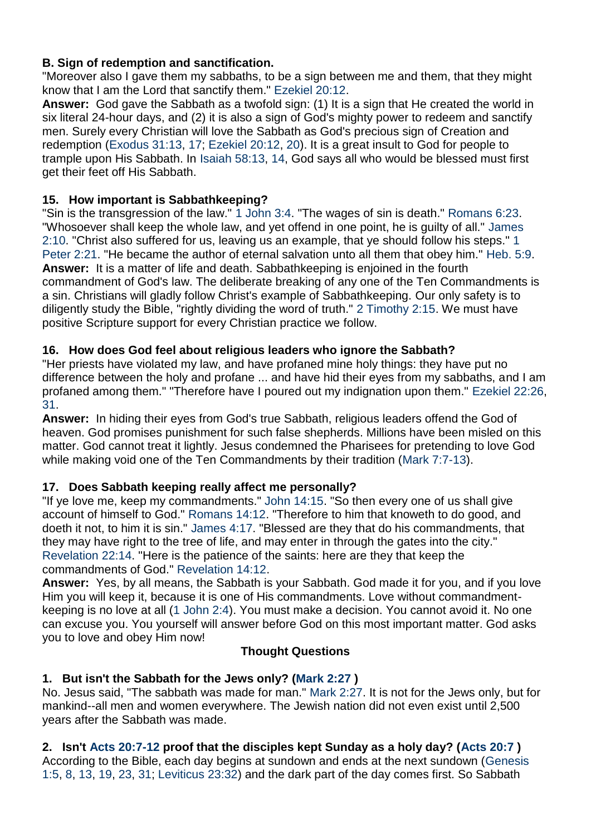# **B. Sign of redemption and sanctification.**

"Moreover also I gave them my sabbaths, to be a sign between me and them, that they might know that I am the Lord that sanctify them." [Ezekiel 20:12.](http://biblia.com/bible/kjv1900/Ezekiel%2020.12)

**Answer:** God gave the Sabbath as a twofold sign: (1) It is a sign that He created the world in six literal 24-hour days, and (2) it is also a sign of God's mighty power to redeem and sanctify men. Surely every Christian will love the Sabbath as God's precious sign of Creation and redemption [\(Exodus 31:13,](http://biblia.com/bible/kjv1900/Exodus%2031.13) [17;](http://biblia.com/bible/kjv1900/Exodus%2031.17) [Ezekiel 20:12,](http://biblia.com/bible/kjv1900/Ezekiel%2020.12) [20\)](http://biblia.com/bible/kjv1900/Ezekiel%2020.20). It is a great insult to God for people to trample upon His Sabbath. In [Isaiah 58:13,](http://biblia.com/bible/kjv1900/Isaiah%2058.13) [14,](http://biblia.com/bible/kjv1900/Isaiah%2058.14) God says all who would be blessed must first get their feet off His Sabbath.

# **15. How important is Sabbathkeeping?**

"Sin is the transgression of the law." [1 John 3:4.](http://biblia.com/bible/kjv1900/1%20John%203.4) "The wages of sin is death." [Romans 6:23.](http://biblia.com/bible/kjv1900/Romans%206.23) "Whosoever shall keep the whole law, and yet offend in one point, he is guilty of all." [James](http://biblia.com/bible/kjv1900/James%202.10)  [2:10.](http://biblia.com/bible/kjv1900/James%202.10) "Christ also suffered for us, leaving us an example, that ye should follow his steps." [1](http://biblia.com/bible/kjv1900/1%20Peter%202.21)  [Peter 2:21.](http://biblia.com/bible/kjv1900/1%20Peter%202.21) "He became the author of eternal salvation unto all them that obey him." [Heb.](http://biblia.com/bible/kjv1900/Hebrews%205.9) 5:9. **Answer:** It is a matter of life and death. Sabbathkeeping is enjoined in the fourth commandment of God's law. The deliberate breaking of any one of the Ten Commandments is a sin. Christians will gladly follow Christ's example of Sabbathkeeping. Our only safety is to diligently study the Bible, "rightly dividing the word of truth." [2 Timothy 2:15.](http://biblia.com/bible/kjv1900/2%20Timothy%202.15) We must have positive Scripture support for every Christian practice we follow.

# **16. How does God feel about religious leaders who ignore the Sabbath?**

"Her priests have violated my law, and have profaned mine holy things: they have put no difference between the holy and profane ... and have hid their eyes from my sabbaths, and I am profaned among them." "Therefore have I poured out my indignation upon them." [Ezekiel 22:26,](http://biblia.com/bible/kjv1900/Ezekiel%2022.26) [31.](http://biblia.com/bible/kjv1900/Ezekiel%2022.31)

**Answer:** In hiding their eyes from God's true Sabbath, religious leaders offend the God of heaven. God promises punishment for such false shepherds. Millions have been misled on this matter. God cannot treat it lightly. Jesus condemned the Pharisees for pretending to love God while making void one of the Ten Commandments by their tradition [\(Mark 7:7-13\)](http://biblia.com/bible/kjv1900/Mark%207.7-13).

# **17. Does Sabbath keeping really affect me personally?**

"If ye love me, keep my commandments." [John 14:15.](http://biblia.com/bible/kjv1900/John%2014.15) "So then every one of us shall give account of himself to God." [Romans 14:12.](http://biblia.com/bible/kjv1900/Romans%2014.12) "Therefore to him that knoweth to do good, and doeth it not, to him it is sin." [James 4:17.](http://biblia.com/bible/kjv1900/James%204.17) "Blessed are they that do his commandments, that they may have right to the tree of life, and may enter in through the gates into the city." [Revelation 22:14.](http://biblia.com/bible/kjv1900/Revelation%2022.14) "Here is the patience of the saints: here are they that keep the commandments of God." [Revelation 14:12.](http://biblia.com/bible/kjv1900/Revelation%2014.12)

**Answer:** Yes, by all means, the Sabbath is your Sabbath. God made it for you, and if you love Him you will keep it, because it is one of His commandments. Love without commandmentkeeping is no love at all [\(1 John 2:4\)](http://biblia.com/bible/kjv1900/1%20John%202.4). You must make a decision. You cannot avoid it. No one can excuse you. You yourself will answer before God on this most important matter. God asks you to love and obey Him now!

# **Thought Questions**

# **1. But isn't the Sabbath for the Jews only? [\(Mark 2:27](http://biblia.com/bible/kjv1900/Mark%202.27) )**

No. Jesus said, "The sabbath was made for man." [Mark 2:27.](http://biblia.com/bible/kjv1900/Mark%202.27) It is not for the Jews only, but for mankind--all men and women everywhere. The Jewish nation did not even exist until 2,500 years after the Sabbath was made.

# **2. Isn't [Acts 20:7-12](http://biblia.com/bible/kjv1900/Acts%2020.7-12) proof that the disciples kept Sunday as a holy day? [\(Acts 20:7](http://biblia.com/bible/kjv1900/Acts%2020.7) )**

According to the Bible, each day begins at sundown and ends at the next sundown [\(Genesis](http://biblia.com/bible/kjv1900/Genesis%201.5)  [1:5,](http://biblia.com/bible/kjv1900/Genesis%201.5) [8,](http://biblia.com/bible/kjv1900/Genesis%201.8) [13,](http://biblia.com/bible/kjv1900/Genesis%201.13) [19,](http://biblia.com/bible/kjv1900/Genesis%201.19) [23,](http://biblia.com/bible/kjv1900/Genesis%201.23) [31;](http://biblia.com/bible/kjv1900/Genesis%201.31) [Leviticus 23:32\)](http://biblia.com/bible/kjv1900/Leviticus%2023.32) and the dark part of the day comes first. So Sabbath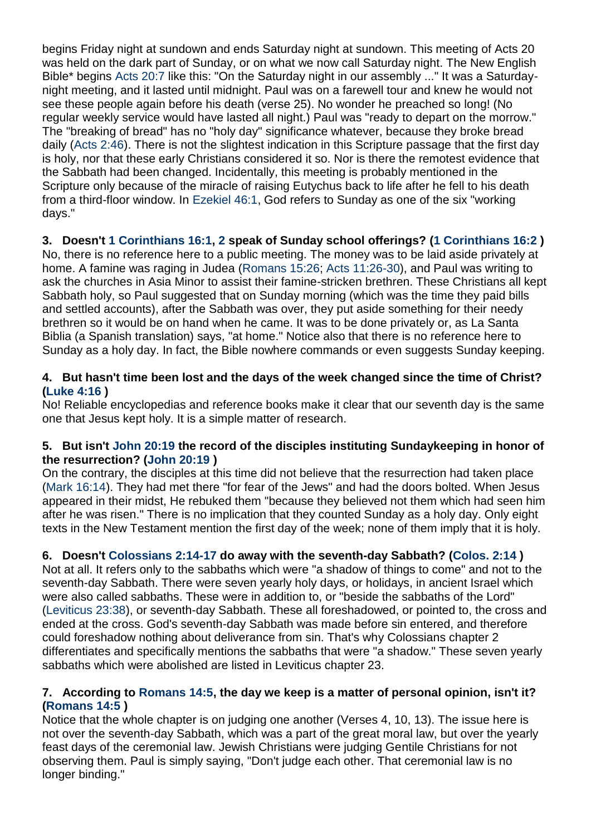begins Friday night at sundown and ends Saturday night at sundown. This meeting of Acts 20 was held on the dark part of Sunday, or on what we now call Saturday night. The New English Bible\* begins [Acts 20:7](http://biblia.com/bible/kjv1900/Acts%2020.7) like this: "On the Saturday night in our assembly ..." It was a Saturdaynight meeting, and it lasted until midnight. Paul was on a farewell tour and knew he would not see these people again before his death (verse 25). No wonder he preached so long! (No regular weekly service would have lasted all night.) Paul was "ready to depart on the morrow." The "breaking of bread" has no "holy day" significance whatever, because they broke bread daily [\(Acts 2:46\)](http://biblia.com/bible/kjv1900/Acts%202.46). There is not the slightest indication in this Scripture passage that the first day is holy, nor that these early Christians considered it so. Nor is there the remotest evidence that the Sabbath had been changed. Incidentally, this meeting is probably mentioned in the Scripture only because of the miracle of raising Eutychus back to life after he fell to his death from a third-floor window. In [Ezekiel 46:1,](http://biblia.com/bible/kjv1900/Ezekiel%2046.1) God refers to Sunday as one of the six "working days."

# **3. Doesn't [1 Corinthians 16:1,](http://biblia.com/bible/kjv1900/1%20Corinthians%2016.1) [2](http://biblia.com/bible/kjv1900/1%20Corinthians%2016.2) speak of Sunday school offerings? [\(1 Corinthians 16:2](http://biblia.com/bible/kjv1900/1%20Corinthians%2016.2) )**

No, there is no reference here to a public meeting. The money was to be laid aside privately at home. A famine was raging in Judea [\(Romans 15:26;](http://biblia.com/bible/kjv1900/Romans%2015.26) [Acts 11:26-30\)](http://biblia.com/bible/kjv1900/Acts%2011.26-30), and Paul was writing to ask the churches in Asia Minor to assist their famine-stricken brethren. These Christians all kept Sabbath holy, so Paul suggested that on Sunday morning (which was the time they paid bills and settled accounts), after the Sabbath was over, they put aside something for their needy brethren so it would be on hand when he came. It was to be done privately or, as La Santa Biblia (a Spanish translation) says, "at home." Notice also that there is no reference here to Sunday as a holy day. In fact, the Bible nowhere commands or even suggests Sunday keeping.

## **4. But hasn't time been lost and the days of the week changed since the time of Christ? [\(Luke 4:16](http://biblia.com/bible/kjv1900/Luke%204.16) )**

No! Reliable encyclopedias and reference books make it clear that our seventh day is the same one that Jesus kept holy. It is a simple matter of research.

## **5. But isn't [John 20:19](http://biblia.com/bible/kjv1900/John%2020.19) the record of the disciples instituting Sundaykeeping in honor of the resurrection? [\(John 20:19](http://biblia.com/bible/kjv1900/John%2020.19) )**

On the contrary, the disciples at this time did not believe that the resurrection had taken place [\(Mark 16:14\)](http://biblia.com/bible/kjv1900/Mark%2016.14). They had met there "for fear of the Jews" and had the doors bolted. When Jesus appeared in their midst, He rebuked them "because they believed not them which had seen him after he was risen." There is no implication that they counted Sunday as a holy day. Only eight texts in the New Testament mention the first day of the week; none of them imply that it is holy.

# **6. Doesn't [Colossians 2:14-17](http://biblia.com/bible/kjv1900/Colossians%202.14-17) do away with the seventh-day Sabbath? [\(Colos.](http://biblia.com/bible/kjv1900/Colossians%202.14) 2:14 )**

Not at all. It refers only to the sabbaths which were "a shadow of things to come" and not to the seventh-day Sabbath. There were seven yearly holy days, or holidays, in ancient Israel which were also called sabbaths. These were in addition to, or "beside the sabbaths of the Lord" [\(Leviticus 23:38\)](http://biblia.com/bible/kjv1900/Leviticus%2023.38), or seventh-day Sabbath. These all foreshadowed, or pointed to, the cross and ended at the cross. God's seventh-day Sabbath was made before sin entered, and therefore could foreshadow nothing about deliverance from sin. That's why Colossians chapter 2 differentiates and specifically mentions the sabbaths that were "a shadow." These seven yearly sabbaths which were abolished are listed in Leviticus chapter 23.

## **7. According to [Romans 14:5,](http://biblia.com/bible/kjv1900/Romans%2014.5) the day we keep is a matter of personal opinion, isn't it? [\(Romans 14:5](http://biblia.com/bible/kjv1900/Romans%2014.5) )**

Notice that the whole chapter is on judging one another (Verses 4, 10, 13). The issue here is not over the seventh-day Sabbath, which was a part of the great moral law, but over the yearly feast days of the ceremonial law. Jewish Christians were judging Gentile Christians for not observing them. Paul is simply saying, "Don't judge each other. That ceremonial law is no longer binding."